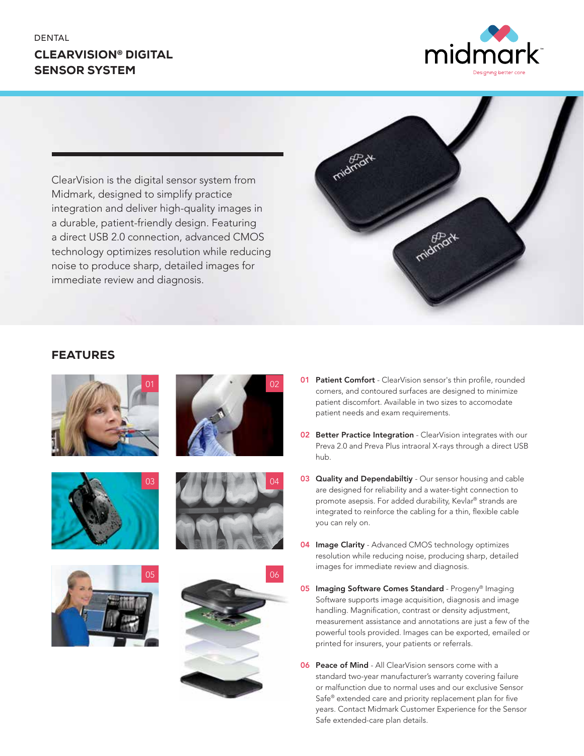# CLEARVISION® DIGITAL SENSOR SYSTEM



ClearVision is the digital sensor system from Midmark, designed to simplify practice integration and deliver high-quality images in a durable, patient-friendly design. Featuring a direct USB 2.0 connection, advanced CMOS technology optimizes resolution while reducing noise to produce sharp, detailed images for immediate review and diagnosis.















**01 Patient Comfort** - ClearVision sensor's thin profile, rounded corners, and contoured surfaces are designed to minimize patient discomfort. Available in two sizes to accomodate patient needs and exam requirements.

midmor

- **02 Better Practice Integration** ClearVision integrates with our Preva 2.0 and Preva Plus intraoral X-rays through a direct USB hub.
- 03 Quality and Dependabiltiy Our sensor housing and cable are designed for reliability and a water-tight connection to promote asepsis. For added durability, Kevlar® strands are integrated to reinforce the cabling for a thin, flexible cable you can rely on.
- **04 Image Clarity** Advanced CMOS technology optimizes resolution while reducing noise, producing sharp, detailed images for immediate review and diagnosis.
- 05 Imaging Software Comes Standard Progeny® Imaging Software supports image acquisition, diagnosis and image handling. Magnification, contrast or density adjustment, measurement assistance and annotations are just a few of the powerful tools provided. Images can be exported, emailed or printed for insurers, your patients or referrals.
- **06 Peace of Mind** All ClearVision sensors come with a standard two-year manufacturer's warranty covering failure or malfunction due to normal uses and our exclusive Sensor Safe® extended care and priority replacement plan for five years. Contact Midmark Customer Experience for the Sensor Safe extended-care plan details.